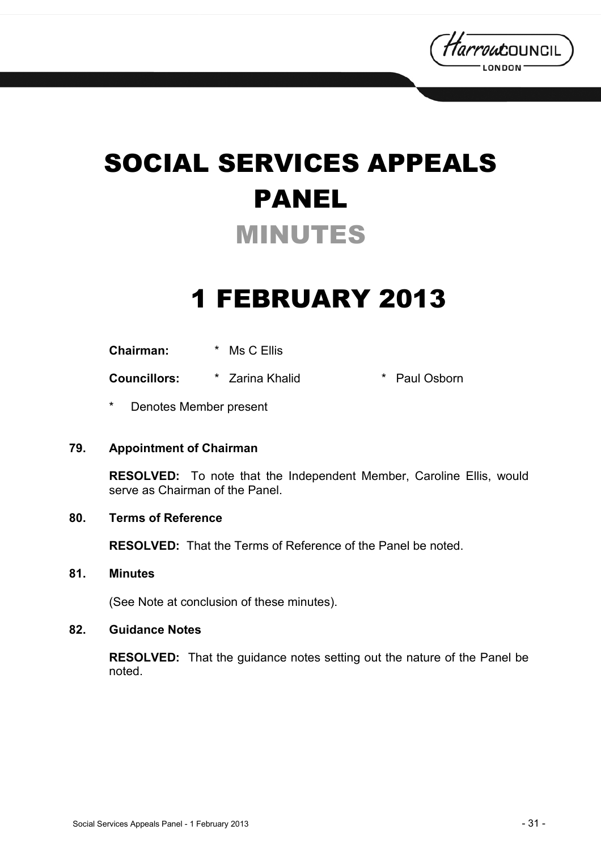

# SOCIAL SERVICES APPEALS PANEL MINUTES

## 1 FEBRUARY 2013

**Chairman:** \* Ms C Ellis

**Councillors:** \* Zarina Khalid \* Paul Osborn

Denotes Member present

#### **79. Appointment of Chairman**

**RESOLVED:** To note that the Independent Member, Caroline Ellis, would serve as Chairman of the Panel.

#### **80. Terms of Reference**

**RESOLVED:** That the Terms of Reference of the Panel be noted.

#### **81. Minutes**

(See Note at conclusion of these minutes).

#### **82. Guidance Notes**

**RESOLVED:** That the guidance notes setting out the nature of the Panel be noted.